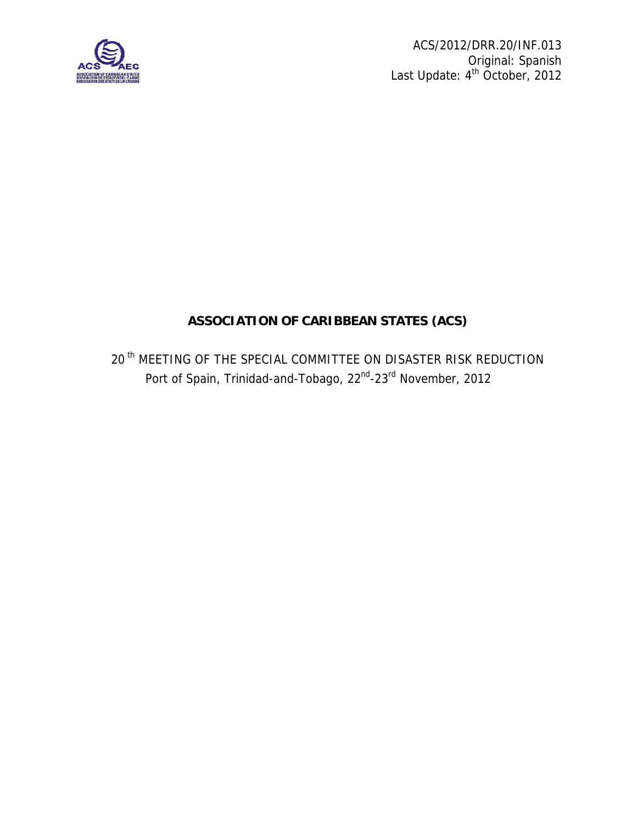

 ACS/2012/DRR.20/INF.013 Original: Spanish Last Update: 4<sup>th</sup> October, 2012

## **ASSOCIATION OF CARIBBEAN STATES (ACS)**

20<sup>th</sup> MEETING OF THE SPECIAL COMMITTEE ON DISASTER RISK REDUCTION Port of Spain, Trinidad-and-Tobago, 22<sup>nd</sup>-23<sup>rd</sup> November, 2012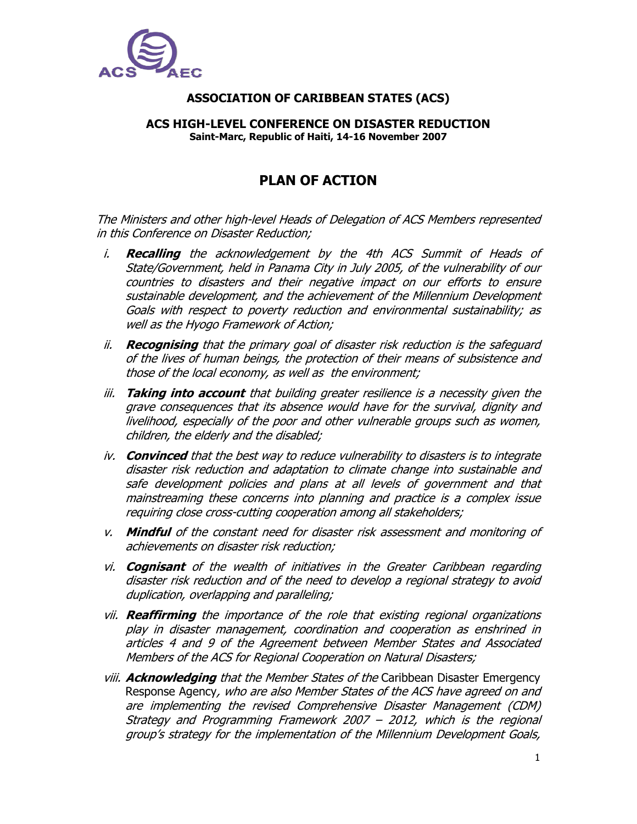

## **ASSOCIATION OF CARIBBEAN STATES (ACS)**

## **ACS HIGH-LEVEL CONFERENCE ON DISASTER REDUCTION Saint-Marc, Republic of Haiti, 14-16 November 2007**

## **PLAN OF ACTION**

The Ministers and other high-level Heads of Delegation of ACS Members represented in this Conference on Disaster Reduction;

- i. **Recalling** the acknowledgement by the 4th ACS Summit of Heads of State/Government, held in Panama City in July 2005, of the vulnerability of our countries to disasters and their negative impact on our efforts to ensure sustainable development, and the achievement of the Millennium Development Goals with respect to poverty reduction and environmental sustainability; as well as the Hyogo Framework of Action;
- ii. **Recognising** that the primary goal of disaster risk reduction is the safeguard of the lives of human beings, the protection of their means of subsistence and those of the local economy, as well as the environment;
- iii. **Taking into account** that building greater resilience is a necessity given the grave consequences that its absence would have for the survival, dignity and livelihood, especially of the poor and other vulnerable groups such as women, children, the elderly and the disabled;
- iv. **Convinced** that the best way to reduce vulnerability to disasters is to integrate disaster risk reduction and adaptation to climate change into sustainable and safe development policies and plans at all levels of government and that mainstreaming these concerns into planning and practice is a complex issue requiring close cross-cutting cooperation among all stakeholders;
- v. **Mindful** of the constant need for disaster risk assessment and monitoring of achievements on disaster risk reduction;
- vi. **Cognisant** of the wealth of initiatives in the Greater Caribbean regarding disaster risk reduction and of the need to develop a regional strategy to avoid duplication, overlapping and paralleling;
- vii. **Reaffirming** the importance of the role that existing regional organizations play in disaster management, coordination and cooperation as enshrined in articles 4 and 9 of the Agreement between Member States and Associated Members of the ACS for Regional Cooperation on Natural Disasters;
- viii. **Acknowledging** that the Member States of the Caribbean Disaster Emergency Response Agency, who are also Member States of the ACS have agreed on and are implementing the revised Comprehensive Disaster Management (CDM) Strategy and Programming Framework 2007 – 2012, which is the regional group's strategy for the implementation of the Millennium Development Goals,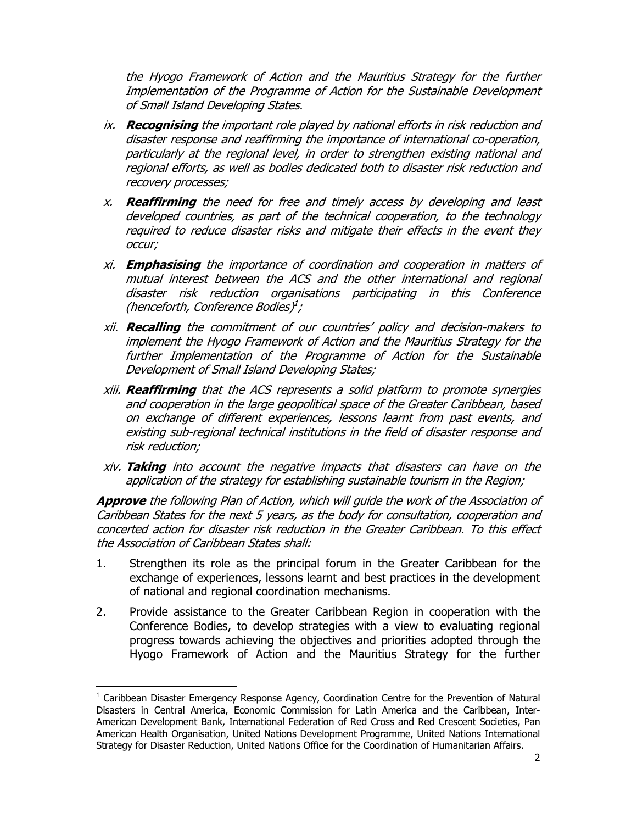the Hyogo Framework of Action and the Mauritius Strategy for the further Implementation of the Programme of Action for the Sustainable Development of Small Island Developing States.

- ix. **Recognising** the important role played by national efforts in risk reduction and disaster response and reaffirming the importance of international co-operation, particularly at the regional level, in order to strengthen existing national and regional efforts, as well as bodies dedicated both to disaster risk reduction and recovery processes;
- x. **Reaffirming** the need for free and timely access by developing and least developed countries, as part of the technical cooperation, to the technology required to reduce disaster risks and mitigate their effects in the event they occur;
- xi. **Emphasising** the importance of coordination and cooperation in matters of mutual interest between the ACS and the other international and regional disaster risk reduction organisations participating in this Conference (henceforth, Conference Bodies)<sup>1</sup>;
- xii. **Recalling** the commitment of our countries' policy and decision-makers to implement the Hyogo Framework of Action and the Mauritius Strategy for the further Implementation of the Programme of Action for the Sustainable Development of Small Island Developing States;
- xiii. **Reaffirming** that the ACS represents a solid platform to promote synergies and cooperation in the large geopolitical space of the Greater Caribbean, based on exchange of different experiences, lessons learnt from past events, and existing sub-regional technical institutions in the field of disaster response and risk reduction;
- xiv. **Taking** into account the negative impacts that disasters can have on the application of the strategy for establishing sustainable tourism in the Region;

**Approve** the following Plan of Action, which will guide the work of the Association of Caribbean States for the next 5 years, as the body for consultation, cooperation and concerted action for disaster risk reduction in the Greater Caribbean. To this effect the Association of Caribbean States shall:

- 1. Strengthen its role as the principal forum in the Greater Caribbean for the exchange of experiences, lessons learnt and best practices in the development of national and regional coordination mechanisms.
- 2. Provide assistance to the Greater Caribbean Region in cooperation with the Conference Bodies, to develop strategies with a view to evaluating regional progress towards achieving the objectives and priorities adopted through the Hyogo Framework of Action and the Mauritius Strategy for the further

-

<sup>&</sup>lt;sup>1</sup> Caribbean Disaster Emergency Response Agency, Coordination Centre for the Prevention of Natural Disasters in Central America, Economic Commission for Latin America and the Caribbean, Inter-American Development Bank, International Federation of Red Cross and Red Crescent Societies, Pan American Health Organisation, United Nations Development Programme, United Nations International Strategy for Disaster Reduction, United Nations Office for the Coordination of Humanitarian Affairs.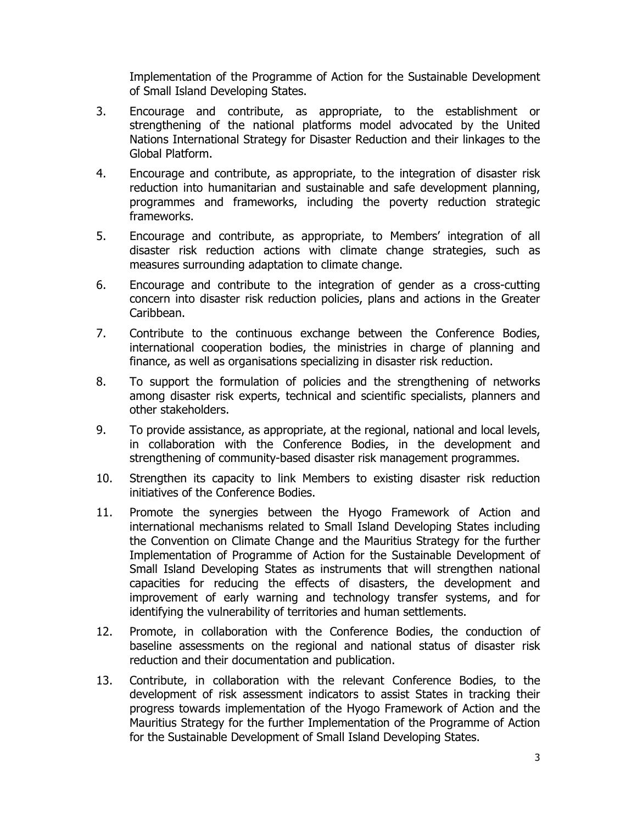Implementation of the Programme of Action for the Sustainable Development of Small Island Developing States.

- 3. Encourage and contribute, as appropriate, to the establishment or strengthening of the national platforms model advocated by the United Nations International Strategy for Disaster Reduction and their linkages to the Global Platform.
- 4. Encourage and contribute, as appropriate, to the integration of disaster risk reduction into humanitarian and sustainable and safe development planning, programmes and frameworks, including the poverty reduction strategic frameworks.
- 5. Encourage and contribute, as appropriate, to Members' integration of all disaster risk reduction actions with climate change strategies, such as measures surrounding adaptation to climate change.
- 6. Encourage and contribute to the integration of gender as a cross-cutting concern into disaster risk reduction policies, plans and actions in the Greater Caribbean.
- 7. Contribute to the continuous exchange between the Conference Bodies, international cooperation bodies, the ministries in charge of planning and finance, as well as organisations specializing in disaster risk reduction.
- 8. To support the formulation of policies and the strengthening of networks among disaster risk experts, technical and scientific specialists, planners and other stakeholders.
- 9. To provide assistance, as appropriate, at the regional, national and local levels, in collaboration with the Conference Bodies, in the development and strengthening of community-based disaster risk management programmes.
- 10. Strengthen its capacity to link Members to existing disaster risk reduction initiatives of the Conference Bodies.
- 11. Promote the synergies between the Hyogo Framework of Action and international mechanisms related to Small Island Developing States including the Convention on Climate Change and the Mauritius Strategy for the further Implementation of Programme of Action for the Sustainable Development of Small Island Developing States as instruments that will strengthen national capacities for reducing the effects of disasters, the development and improvement of early warning and technology transfer systems, and for identifying the vulnerability of territories and human settlements.
- 12. Promote, in collaboration with the Conference Bodies, the conduction of baseline assessments on the regional and national status of disaster risk reduction and their documentation and publication.
- 13. Contribute, in collaboration with the relevant Conference Bodies, to the development of risk assessment indicators to assist States in tracking their progress towards implementation of the Hyogo Framework of Action and the Mauritius Strategy for the further Implementation of the Programme of Action for the Sustainable Development of Small Island Developing States.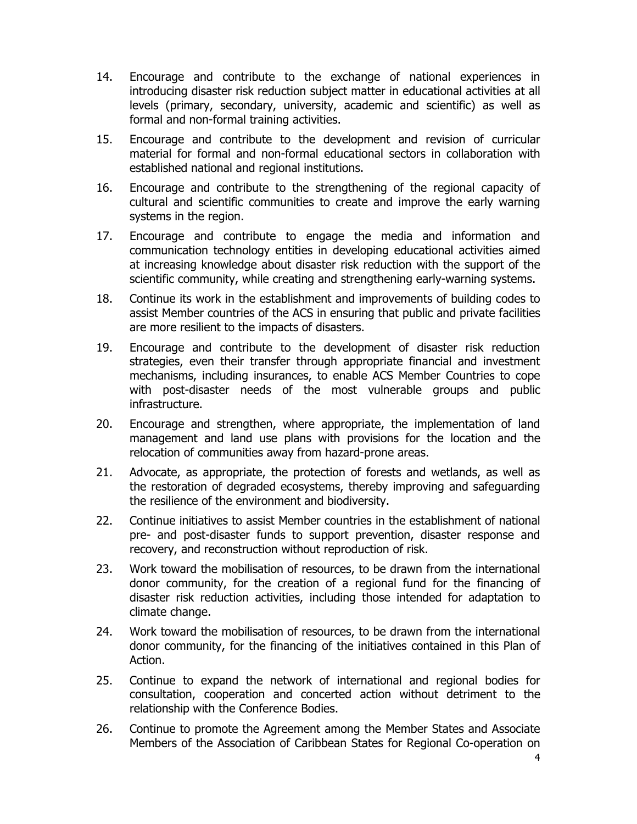- 14. Encourage and contribute to the exchange of national experiences in introducing disaster risk reduction subject matter in educational activities at all levels (primary, secondary, university, academic and scientific) as well as formal and non-formal training activities.
- 15. Encourage and contribute to the development and revision of curricular material for formal and non-formal educational sectors in collaboration with established national and regional institutions.
- 16. Encourage and contribute to the strengthening of the regional capacity of cultural and scientific communities to create and improve the early warning systems in the region.
- 17. Encourage and contribute to engage the media and information and communication technology entities in developing educational activities aimed at increasing knowledge about disaster risk reduction with the support of the scientific community, while creating and strengthening early-warning systems.
- 18. Continue its work in the establishment and improvements of building codes to assist Member countries of the ACS in ensuring that public and private facilities are more resilient to the impacts of disasters.
- 19. Encourage and contribute to the development of disaster risk reduction strategies, even their transfer through appropriate financial and investment mechanisms, including insurances, to enable ACS Member Countries to cope with post-disaster needs of the most vulnerable groups and public infrastructure.
- 20. Encourage and strengthen, where appropriate, the implementation of land management and land use plans with provisions for the location and the relocation of communities away from hazard-prone areas.
- 21. Advocate, as appropriate, the protection of forests and wetlands, as well as the restoration of degraded ecosystems, thereby improving and safeguarding the resilience of the environment and biodiversity.
- 22. Continue initiatives to assist Member countries in the establishment of national pre- and post-disaster funds to support prevention, disaster response and recovery, and reconstruction without reproduction of risk.
- 23. Work toward the mobilisation of resources, to be drawn from the international donor community, for the creation of a regional fund for the financing of disaster risk reduction activities, including those intended for adaptation to climate change.
- 24. Work toward the mobilisation of resources, to be drawn from the international donor community, for the financing of the initiatives contained in this Plan of Action.
- 25. Continue to expand the network of international and regional bodies for consultation, cooperation and concerted action without detriment to the relationship with the Conference Bodies.
- 26. Continue to promote the Agreement among the Member States and Associate Members of the Association of Caribbean States for Regional Co-operation on